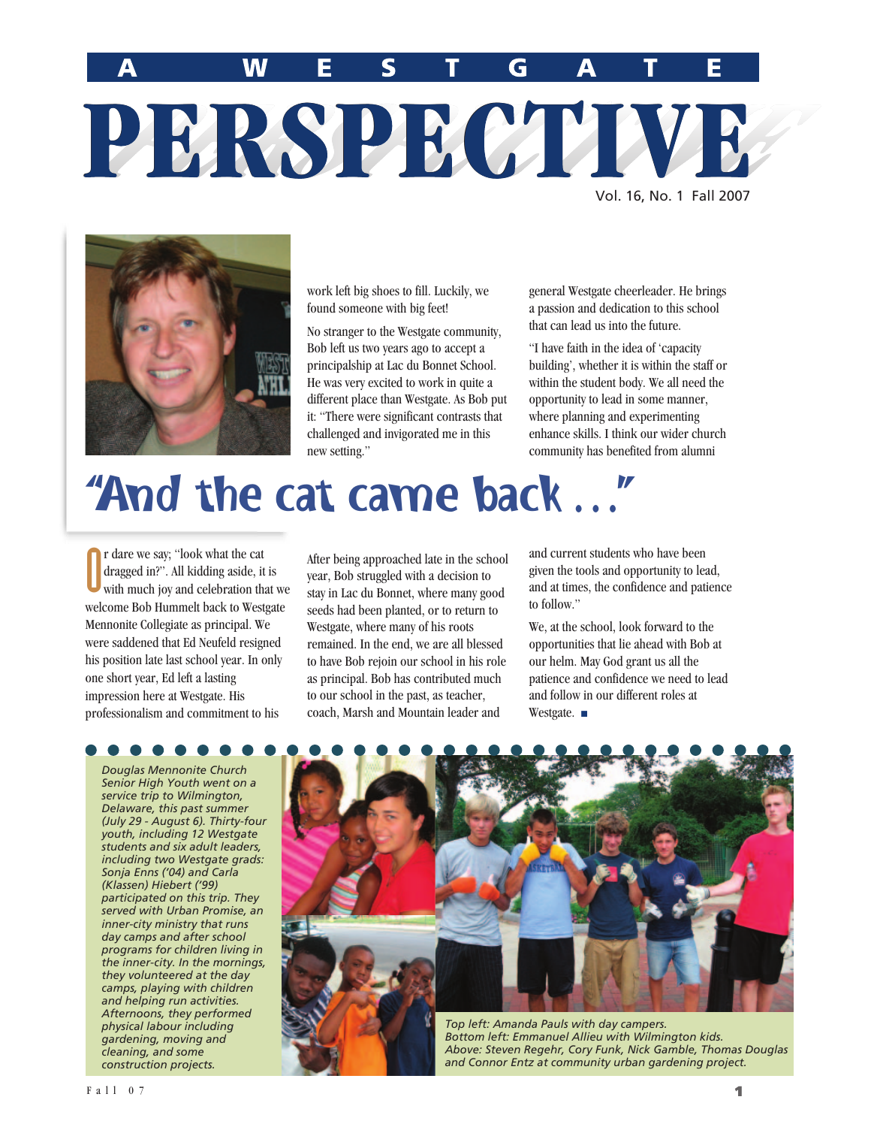E

 $\overline{\mathbf{W}}$ 

G

Vol. 16, No. 1 Fall 2007



work left big shoes to fill. Luckily, we found someone with big feet!

PERSPECTIV

No stranger to the Westgate community, Bob left us two years ago to accept a principalship at Lac du Bonnet School. He was very excited to work in quite a different place than Westgate. As Bob put it: "There were significant contrasts that challenged and invigorated me in this new setting."

general Westgate cheerleader. He brings a passion and dedication to this school that can lead us into the future.

"I have faith in the idea of 'capacity building', whether it is within the staff or within the student body. We all need the opportunity to lead in some manner, where planning and experimenting enhance skills. I think our wider church community has benefited from alumni

# "And the cat came back …"

O r dare we say; "look what the cat dragged in?". All kidding aside, it is with much joy and celebration that we welcome Bob Hummelt back to Westgate Mennonite Collegiate as principal. We were saddened that Ed Neufeld resigned his position late last school year. In only one short year, Ed left a lasting impression here at Westgate. His professionalism and commitment to his

*Douglas Mennonite Church Senior High Youth went on a service trip to Wilmington, Delaware, this past summer (July 29 - August 6). Thirty-four youth, including 12 Westgate students and six adult leaders, including two Westgate grads: Sonja Enns ('04) and Carla (Klassen) Hiebert ('99) participated on this trip. They served with Urban Promise, an inner-city ministry that runs day camps and after school programs for children living in the inner-city. In the mornings, they volunteered at the day camps, playing with children and helping run activities. Afternoons, they performed physical labour including gardening, moving and cleaning, and some construction projects.*

After being approached late in the school year, Bob struggled with a decision to stay in Lac du Bonnet, where many good seeds had been planted, or to return to Westgate, where many of his roots remained. In the end, we are all blessed to have Bob rejoin our school in his role as principal. Bob has contributed much to our school in the past, as teacher, coach, Marsh and Mountain leader and

and current students who have been given the tools and opportunity to lead, and at times, the confidence and patience to follow."

We, at the school, look forward to the opportunities that lie ahead with Bob at our helm. May God grant us all the patience and confidence we need to lead and follow in our different roles at Westgate. ■



*Above: Steven Regehr, Cory Funk, Nick Gamble, Thomas Douglas and Connor Entz at community urban gardening project.*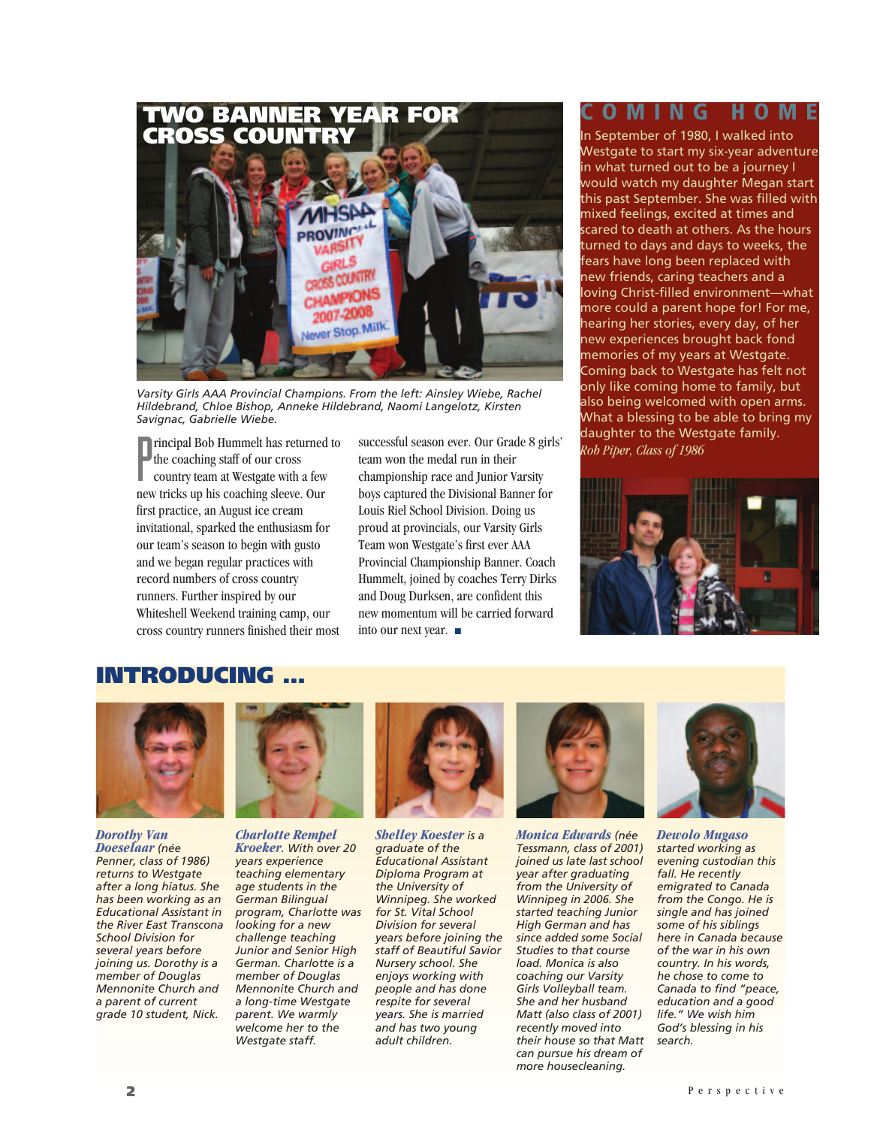

*Varsity Girls AAA Provincial Champions. From the left: Ainsley Wiebe, Rachel Hildebrand, Chloe Bishop, Anneke Hildebrand, Naomi Langelotz, Kirsten Savignac, Gabrielle Wiebe.*

**Principal Bob Hummelt has returned to** successful season ever. Our Grade 8 girls' daughter to the West the coaching staff of our cross team won the medal run in their country team at Westgate with a few championship race the coaching staff of our cross country team at Westgate with a few new tricks up his coaching sleeve. Our first practice, an August ice cream invitational, sparked the enthusiasm for our team's season to begin with gusto and we began regular practices with record numbers of cross country runners. Further inspired by our Whiteshell Weekend training camp, our cross country runners finished their most

successful season ever. Our Grade 8 girls' team won the medal run in their championship race and Junior Varsity boys captured the Divisional Banner for Louis Riel School Division. Doing us proud at provincials, our Varsity Girls Team won Westgate's first ever AAA Provincial Championship Banner. Coach Hummelt, joined by coaches Terry Dirks and Doug Durksen, are confident this new momentum will be carried forward into our next year. ■

## **COMING HOME**

In September of 1980, I walked into Westgate to start my six-year adventure in what turned out to be a journey I would watch my daughter Megan start this past September. She was filled with mixed feelings, excited at times and scared to death at others. As the hours turned to days and days to weeks, the fears have long been replaced with new friends, caring teachers and a loving Christ-filled environment—what more could a parent hope for! For me, hearing her stories, every day, of her new experiences brought back fond memories of my years at Westgate. Coming back to Westgate has felt not only like coming home to family, but also being welcomed with open arms. What a blessing to be able to bring my daughter to the Westgate family.



### **INTRODUCING …**



*Dorothy Van Doeselaar (née Penner, class of 1986) returns to Westgate after a long hiatus. She has been working as an Educational Assistant in the River East Transcona School Division for several years before joining us. Dorothy is a member of Douglas Mennonite Church and a parent of current grade 10 student, Nick.*



*Charlotte Rempel Kroeker. With over 20 years experience teaching elementary age students in the German Bilingual program, Charlotte was looking for a new challenge teaching Junior and Senior High German. Charlotte is a member of Douglas Mennonite Church and a long-time Westgate parent. We warmly welcome her to the Westgate staff.*



*Shelley Koester is a graduate of the Educational Assistant Diploma Program at the University of Winnipeg. She worked for St. Vital School Division for several years before joining the staff of Beautiful Savior Nursery school. She enjoys working with people and has done respite for several years. She is married and has two young adult children.*



*Monica Edwards (née Tessmann, class of 2001) joined us late last school year after graduating from the University of Winnipeg in 2006. She started teaching Junior High German and has since added some Social Studies to that course load. Monica is also coaching our Varsity Girls Volleyball team. She and her husband Matt (also class of 2001) recently moved into their house so that Matt can pursue his dream of more housecleaning.*



*Dewolo Mugaso started working as evening custodian this fall. He recently emigrated to Canada from the Congo. He is single and has joined some of his siblings here in Canada because of the war in his own country. In his words, he chose to come to Canada to find "peace, education and a good life." We wish him God's blessing in his search.*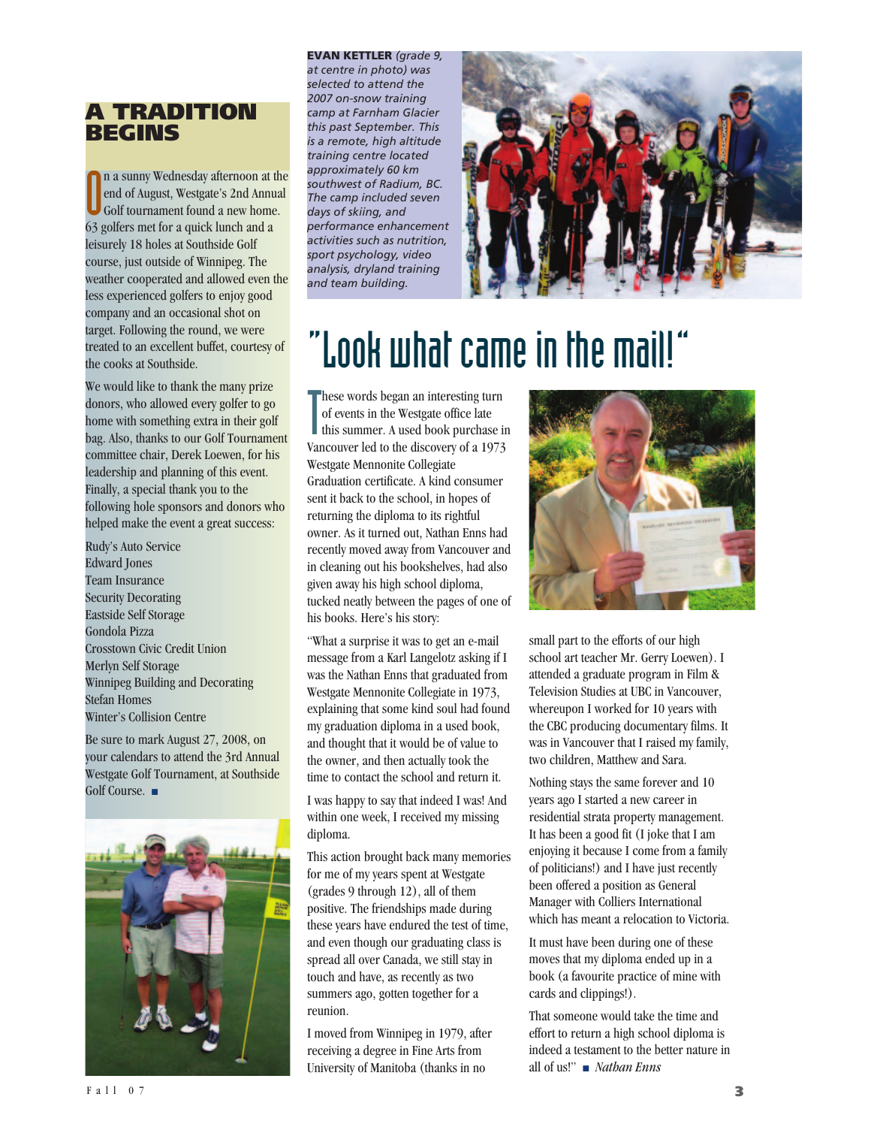## **A TRADITION BEGINS**

n a sunny Wednesday afternoon at<br>end of August, Westgate's 2nd Annu<br>63 golfers met for a quick lunch and a n a sunny Wednesday afternoon at the end of August, Westgate's 2nd Annual Golf tournament found a new home. leisurely 18 holes at Southside Golf course, just outside of Winnipeg. The weather cooperated and allowed even the less experienced golfers to enjoy good company and an occasional shot on target. Following the round, we were treated to an excellent buffet, courtesy of the cooks at Southside.

We would like to thank the many prize donors, who allowed every golfer to go home with something extra in their golf bag. Also, thanks to our Golf Tournament committee chair, Derek Loewen, for his leadership and planning of this event. Finally, a special thank you to the following hole sponsors and donors who helped make the event a great success:

Rudy's Auto Service Edward Jones Team Insurance Security Decorating Eastside Self Storage Gondola Pizza Crosstown Civic Credit Union Merlyn Self Storage Winnipeg Building and Decorating Stefan Homes Winter's Collision Centre

Be sure to mark August 27, 2008, on your calendars to attend the 3rd Annual Westgate Golf Tournament, at Southside Golf Course. ■



**EVAN KETTLER** *(grade 9, at centre in photo) was selected to attend the 2007 on-snow training camp at Farnham Glacier this past September. This is a remote, high altitude training centre located approximately 60 km southwest of Radium, BC. The camp included seven days of skiing, and performance enhancement activities such as nutrition, sport psychology, video analysis, dryland training and team building.*



# "Look what came in the mail!"

These words began an interesting turn<br>of events in the Westgate office late<br>this summer. A used book purchase of events in the Westgate office late this summer. A used book purchase in Vancouver led to the discovery of a 1973 Westgate Mennonite Collegiate Graduation certificate. A kind consumer sent it back to the school, in hopes of returning the diploma to its rightful owner. As it turned out, Nathan Enns had recently moved away from Vancouver and in cleaning out his bookshelves, had also given away his high school diploma, tucked neatly between the pages of one of his books. Here's his story:

"What a surprise it was to get an e-mail message from a Karl Langelotz asking if I was the Nathan Enns that graduated from Westgate Mennonite Collegiate in 1973, explaining that some kind soul had found my graduation diploma in a used book, and thought that it would be of value to the owner, and then actually took the time to contact the school and return it.

I was happy to say that indeed I was! And within one week, I received my missing diploma.

This action brought back many memories for me of my years spent at Westgate (grades 9 through 12), all of them positive. The friendships made during these years have endured the test of time, and even though our graduating class is spread all over Canada, we still stay in touch and have, as recently as two summers ago, gotten together for a reunion.

I moved from Winnipeg in 1979, after receiving a degree in Fine Arts from University of Manitoba (thanks in no



small part to the efforts of our high school art teacher Mr. Gerry Loewen). I attended a graduate program in Film & Television Studies at UBC in Vancouver, whereupon I worked for 10 years with the CBC producing documentary films. It was in Vancouver that I raised my family, two children, Matthew and Sara.

Nothing stays the same forever and 10 years ago I started a new career in residential strata property management. It has been a good fit (I joke that I am enjoying it because I come from a family of politicians!) and I have just recently been offered a position as General Manager with Colliers International which has meant a relocation to Victoria.

It must have been during one of these moves that my diploma ended up in a book (a favourite practice of mine with cards and clippings!).

That someone would take the time and effort to return a high school diploma is indeed a testament to the better nature in all of us!" ■ *Nathan Enns*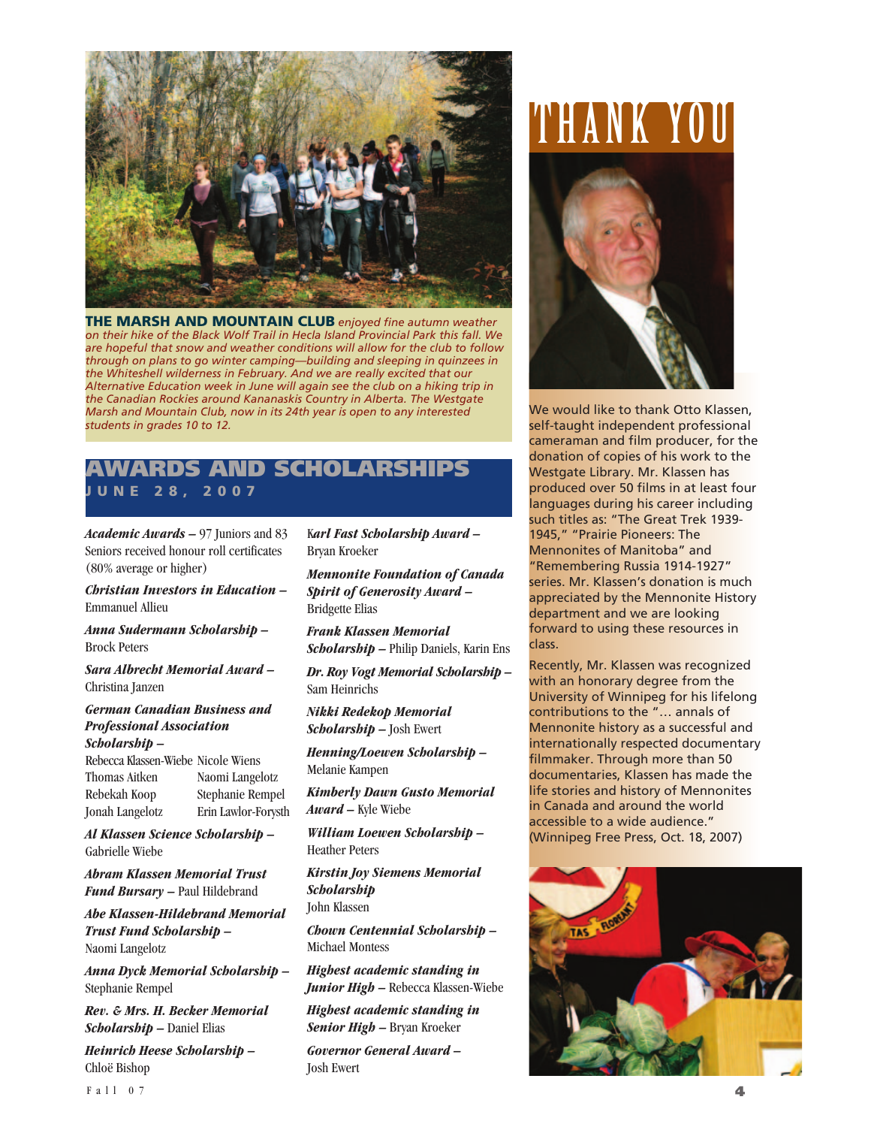

**THE MARSH AND MOUNTAIN CLUB** *enjoyed fine autumn weather on their hike of the Black Wolf Trail in Hecla Island Provincial Park this fall. We are hopeful that snow and weather conditions will allow for the club to follow through on plans to go winter camping—building and sleeping in quinzees in the Whiteshell wilderness in February. And we are really excited that our Alternative Education week in June will again see the club on a hiking trip in the Canadian Rockies around Kananaskis Country in Alberta. The Westgate Marsh and Mountain Club, now in its 24th year is open to any interested students in grades 10 to 12.*

### **AND SCHOLARSHIPS JUNE 28, 2007**

*Academic Awards –* 97 Juniors and 83 Seniors received honour roll certificates (80% average or higher)

*Christian Investors in Education –* Emmanuel Allieu

#### *Anna Sudermann Scholarship –* Brock Peters

*Sara Albrecht Memorial Award –* Christina Janzen

#### *German Canadian Business and Professional Association Scholarship –*

Rebecca Klassen-Wiebe Nicole Wiens Thomas Aitken Naomi Langelotz Rebekah Koop Stephanie Rempel Jonah Langelotz Erin Lawlor-Forysth

*Al Klassen Science Scholarship –*  Gabrielle Wiebe

*Abram Klassen Memorial Trust Fund Bursary –* Paul Hildebrand

*Abe Klassen-Hildebrand Memorial Trust Fund Scholarship –*  Naomi Langelotz

*Anna Dyck Memorial Scholarship –* Stephanie Rempel

*Rev. & Mrs. H. Becker Memorial Scholarship –* Daniel Elias

*Heinrich Heese Scholarship –*  Chloë Bishop

K*arl Fast Scholarship Award –*  Bryan Kroeker

*Mennonite Foundation of Canada Spirit of Generosity Award –*  Bridgette Elias

*Frank Klassen Memorial Scholarship –* Philip Daniels, Karin Ens

*Dr. Roy Vogt Memorial Scholarship –* Sam Heinrichs

*Nikki Redekop Memorial Scholarship –* Josh Ewert

*Henning/Loewen Scholarship –*  Melanie Kampen

*Kimberly Dawn Gusto Memorial Award –* Kyle Wiebe

*William Loewen Scholarship –*  Heather Peters

*Kirstin Joy Siemens Memorial Scholarship* John Klassen

*Chown Centennial Scholarship –*  Michael Montess

*Highest academic standing in Junior High –* Rebecca Klassen-Wiebe

*Highest academic standing in Senior High –* Bryan Kroeker

*Governor General Award –*  Josh Ewert

# THANK YOU



We would like to thank Otto Klassen, self-taught independent professional cameraman and film producer, for the donation of copies of his work to the Westgate Library. Mr. Klassen has produced over 50 films in at least four languages during his career including such titles as: "The Great Trek 1939- 1945," "Prairie Pioneers: The Mennonites of Manitoba" and "Remembering Russia 1914-1927" series. Mr. Klassen's donation is much appreciated by the Mennonite History department and we are looking forward to using these resources in class.

Recently, Mr. Klassen was recognized with an honorary degree from the University of Winnipeg for his lifelong contributions to the "… annals of Mennonite history as a successful and internationally respected documentary filmmaker. Through more than 50 documentaries, Klassen has made the life stories and history of Mennonites in Canada and around the world accessible to a wide audience." (Winnipeg Free Press, Oct. 18, 2007)

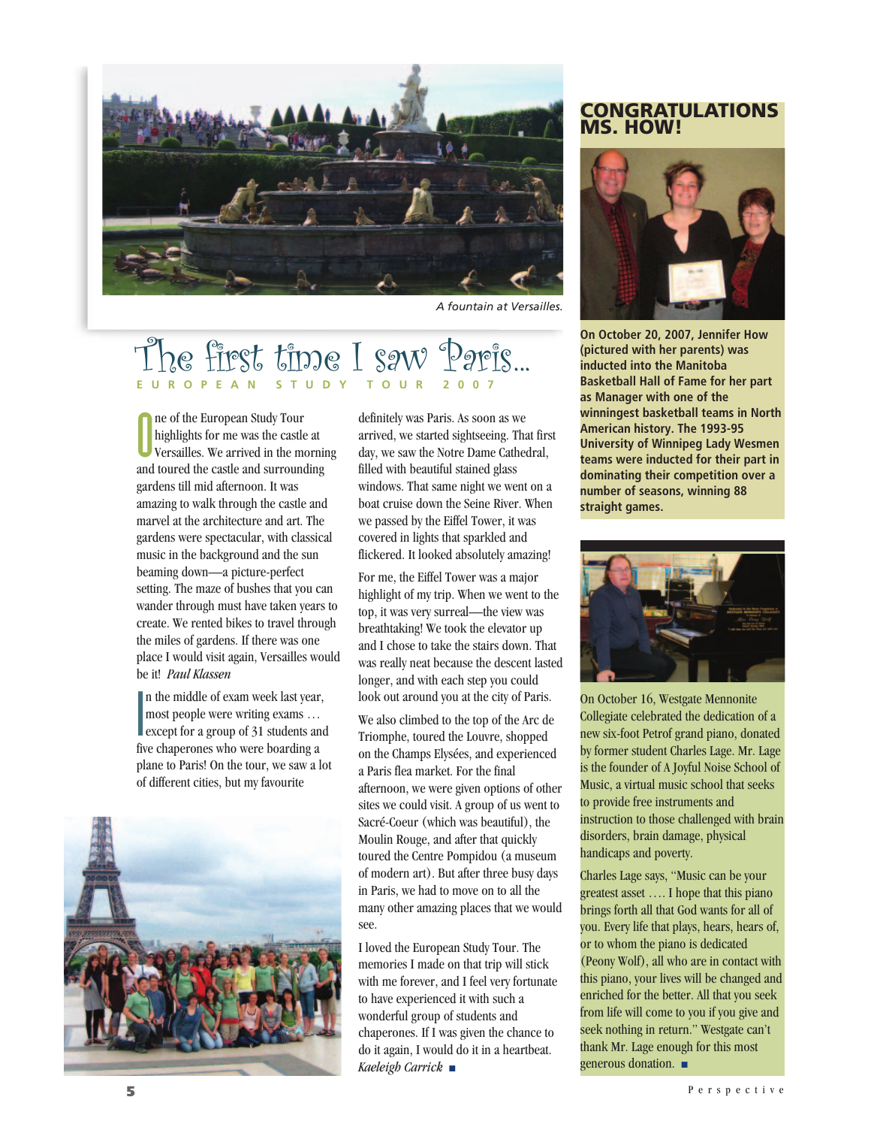

*A fountain at Versailles.*

# Tiest time I saw **EUROPEAN**

O ne of the European Study Tour highlights for me was the castle at Versailles. We arrived in the morning and toured the castle and surrounding gardens till mid afternoon. It was amazing to walk through the castle and marvel at the architecture and art. The gardens were spectacular, with classical music in the background and the sun beaming down—a picture-perfect setting. The maze of bushes that you can wander through must have taken years to create. We rented bikes to travel through the miles of gardens. If there was one place I would visit again, Versailles would be it! *Paul Klassen*

 $\frac{1}{2}$ n the middle of exam week last year, most people were writing exams … except for a group of 31 students and five chaperones who were boarding a plane to Paris! On the tour, we saw a lot of different cities, but my favourite



definitely was Paris. As soon as we arrived, we started sightseeing. That first day, we saw the Notre Dame Cathedral, filled with beautiful stained glass windows. That same night we went on a boat cruise down the Seine River. When we passed by the Eiffel Tower, it was covered in lights that sparkled and flickered. It looked absolutely amazing!

For me, the Eiffel Tower was a major highlight of my trip. When we went to the top, it was very surreal—the view was breathtaking! We took the elevator up and I chose to take the stairs down. That was really neat because the descent lasted longer, and with each step you could look out around you at the city of Paris.

We also climbed to the top of the Arc de Triomphe, toured the Louvre, shopped on the Champs Elysées, and experienced a Paris flea market. For the final afternoon, we were given options of other sites we could visit. A group of us went to Sacré-Coeur (which was beautiful), the Moulin Rouge, and after that quickly toured the Centre Pompidou (a museum of modern art). But after three busy days in Paris, we had to move on to all the many other amazing places that we would see.

I loved the European Study Tour. The memories I made on that trip will stick with me forever, and I feel very fortunate to have experienced it with such a wonderful group of students and chaperones. If I was given the chance to do it again, I would do it in a heartbeat. *Kaeleigh Carrick* ■

#### **CONGRATULATIONS MS. HOW!**



**On October 20, 2007, Jennifer How (pictured with her parents) was inducted into the Manitoba Basketball Hall of Fame for her part as Manager with one of the winningest basketball teams in North American history. The 1993-95 University of Winnipeg Lady Wesmen teams were inducted for their part in dominating their competition over a number of seasons, winning 88 straight games.** 



On October 16, Westgate Mennonite Collegiate celebrated the dedication of a new six-foot Petrof grand piano, donated by former student Charles Lage. Mr. Lage is the founder of A Joyful Noise School of Music, a virtual music school that seeks to provide free instruments and instruction to those challenged with brain disorders, brain damage, physical handicaps and poverty.

Charles Lage says, "Music can be your greatest asset …. I hope that this piano brings forth all that God wants for all of you. Every life that plays, hears, hears of, or to whom the piano is dedicated (Peony Wolf), all who are in contact with this piano, your lives will be changed and enriched for the better. All that you seek from life will come to you if you give and seek nothing in return." Westgate can't thank Mr. Lage enough for this most generous donation. ■